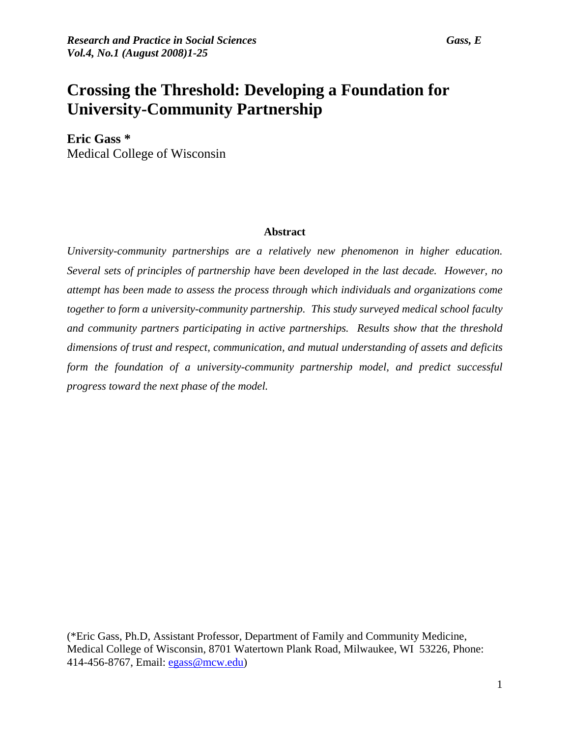# **Crossing the Threshold: Developing a Foundation for University-Community Partnership**

**Eric Gass \***  Medical College of Wisconsin

### **Abstract**

*University-community partnerships are a relatively new phenomenon in higher education. Several sets of principles of partnership have been developed in the last decade. However, no attempt has been made to assess the process through which individuals and organizations come together to form a university-community partnership. This study surveyed medical school faculty and community partners participating in active partnerships. Results show that the threshold dimensions of trust and respect, communication, and mutual understanding of assets and deficits form the foundation of a university-community partnership model, and predict successful progress toward the next phase of the model.* 

(\*Eric Gass, Ph.D, Assistant Professor, Department of Family and Community Medicine, Medical College of Wisconsin, 8701 Watertown Plank Road, Milwaukee, WI 53226, Phone: 414-456-8767, Email: [egass@mcw.edu\)](mailto:egass@mcw.edu)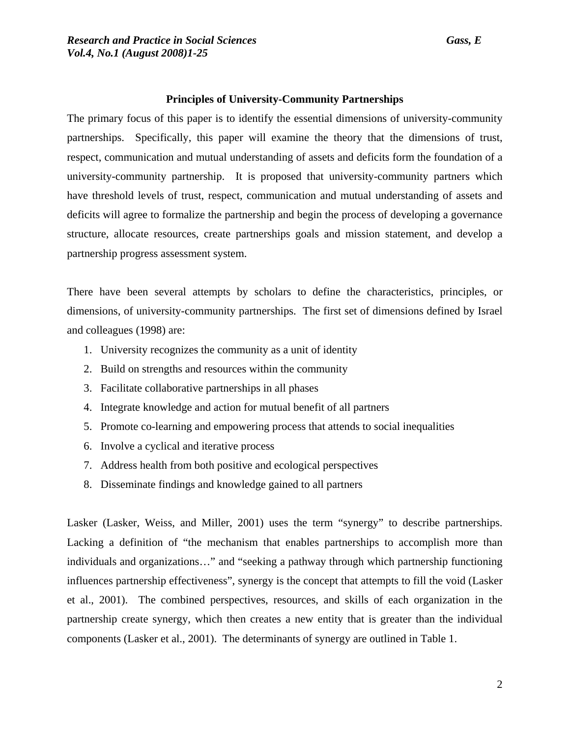### **Principles of University-Community Partnerships**

The primary focus of this paper is to identify the essential dimensions of university-community partnerships. Specifically, this paper will examine the theory that the dimensions of trust, respect, communication and mutual understanding of assets and deficits form the foundation of a university-community partnership. It is proposed that university-community partners which have threshold levels of trust, respect, communication and mutual understanding of assets and deficits will agree to formalize the partnership and begin the process of developing a governance structure, allocate resources, create partnerships goals and mission statement, and develop a partnership progress assessment system.

There have been several attempts by scholars to define the characteristics, principles, or dimensions, of university-community partnerships. The first set of dimensions defined by Israel and colleagues (1998) are:

- 1. University recognizes the community as a unit of identity
- 2. Build on strengths and resources within the community
- 3. Facilitate collaborative partnerships in all phases
- 4. Integrate knowledge and action for mutual benefit of all partners
- 5. Promote co-learning and empowering process that attends to social inequalities
- 6. Involve a cyclical and iterative process
- 7. Address health from both positive and ecological perspectives
- 8. Disseminate findings and knowledge gained to all partners

Lasker (Lasker, Weiss, and Miller, 2001) uses the term "synergy" to describe partnerships. Lacking a definition of "the mechanism that enables partnerships to accomplish more than individuals and organizations…" and "seeking a pathway through which partnership functioning influences partnership effectiveness", synergy is the concept that attempts to fill the void (Lasker et al., 2001). The combined perspectives, resources, and skills of each organization in the partnership create synergy, which then creates a new entity that is greater than the individual components (Lasker et al., 2001). The determinants of synergy are outlined in Table 1.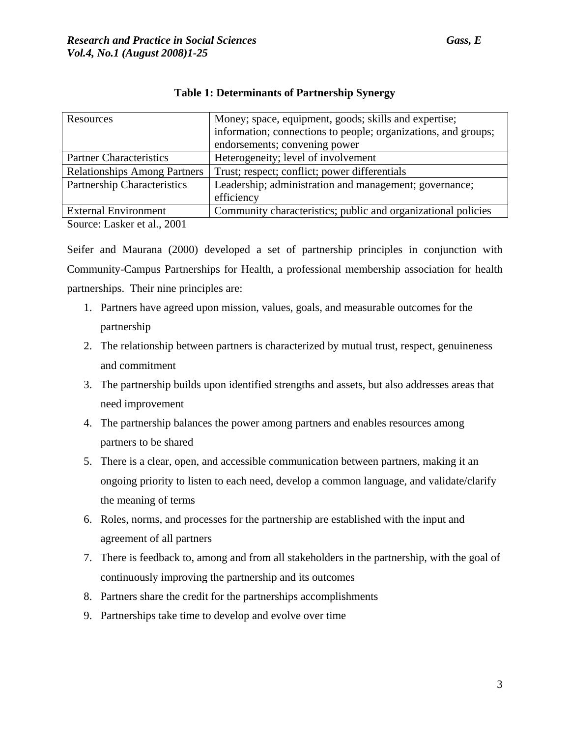| Resources                           | Money; space, equipment, goods; skills and expertise;<br>information; connections to people; organizations, and groups; |  |  |
|-------------------------------------|-------------------------------------------------------------------------------------------------------------------------|--|--|
|                                     | endorsements; convening power                                                                                           |  |  |
| <b>Partner Characteristics</b>      | Heterogeneity; level of involvement                                                                                     |  |  |
| <b>Relationships Among Partners</b> | Trust; respect; conflict; power differentials                                                                           |  |  |
| <b>Partnership Characteristics</b>  | Leadership; administration and management; governance;<br>efficiency                                                    |  |  |
| <b>External Environment</b>         | Community characteristics; public and organizational policies                                                           |  |  |
|                                     |                                                                                                                         |  |  |

### **Table 1: Determinants of Partnership Synergy**

Source: Lasker et al., 2001

Seifer and Maurana (2000) developed a set of partnership principles in conjunction with Community-Campus Partnerships for Health, a professional membership association for health partnerships. Their nine principles are:

- 1. Partners have agreed upon mission, values, goals, and measurable outcomes for the partnership
- 2. The relationship between partners is characterized by mutual trust, respect, genuineness and commitment
- 3. The partnership builds upon identified strengths and assets, but also addresses areas that need improvement
- 4. The partnership balances the power among partners and enables resources among partners to be shared
- 5. There is a clear, open, and accessible communication between partners, making it an ongoing priority to listen to each need, develop a common language, and validate/clarify the meaning of terms
- 6. Roles, norms, and processes for the partnership are established with the input and agreement of all partners
- 7. There is feedback to, among and from all stakeholders in the partnership, with the goal of continuously improving the partnership and its outcomes
- 8. Partners share the credit for the partnerships accomplishments
- 9. Partnerships take time to develop and evolve over time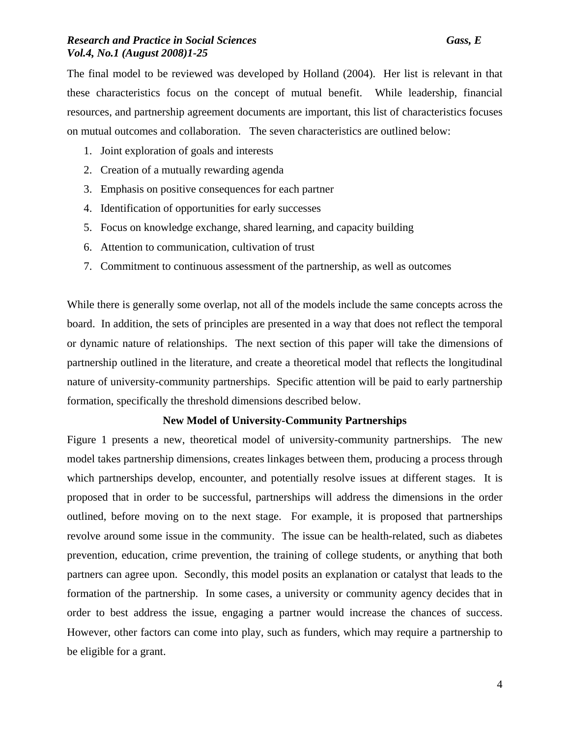The final model to be reviewed was developed by Holland (2004). Her list is relevant in that these characteristics focus on the concept of mutual benefit. While leadership, financial resources, and partnership agreement documents are important, this list of characteristics focuses on mutual outcomes and collaboration. The seven characteristics are outlined below:

- 1. Joint exploration of goals and interests
- 2. Creation of a mutually rewarding agenda
- 3. Emphasis on positive consequences for each partner
- 4. Identification of opportunities for early successes
- 5. Focus on knowledge exchange, shared learning, and capacity building
- 6. Attention to communication, cultivation of trust
- 7. Commitment to continuous assessment of the partnership, as well as outcomes

While there is generally some overlap, not all of the models include the same concepts across the board. In addition, the sets of principles are presented in a way that does not reflect the temporal or dynamic nature of relationships. The next section of this paper will take the dimensions of partnership outlined in the literature, and create a theoretical model that reflects the longitudinal nature of university-community partnerships. Specific attention will be paid to early partnership formation, specifically the threshold dimensions described below.

### **New Model of University-Community Partnerships**

Figure 1 presents a new, theoretical model of university-community partnerships. The new model takes partnership dimensions, creates linkages between them, producing a process through which partnerships develop, encounter, and potentially resolve issues at different stages. It is proposed that in order to be successful, partnerships will address the dimensions in the order outlined, before moving on to the next stage. For example, it is proposed that partnerships revolve around some issue in the community. The issue can be health-related, such as diabetes prevention, education, crime prevention, the training of college students, or anything that both partners can agree upon. Secondly, this model posits an explanation or catalyst that leads to the formation of the partnership. In some cases, a university or community agency decides that in order to best address the issue, engaging a partner would increase the chances of success. However, other factors can come into play, such as funders, which may require a partnership to be eligible for a grant.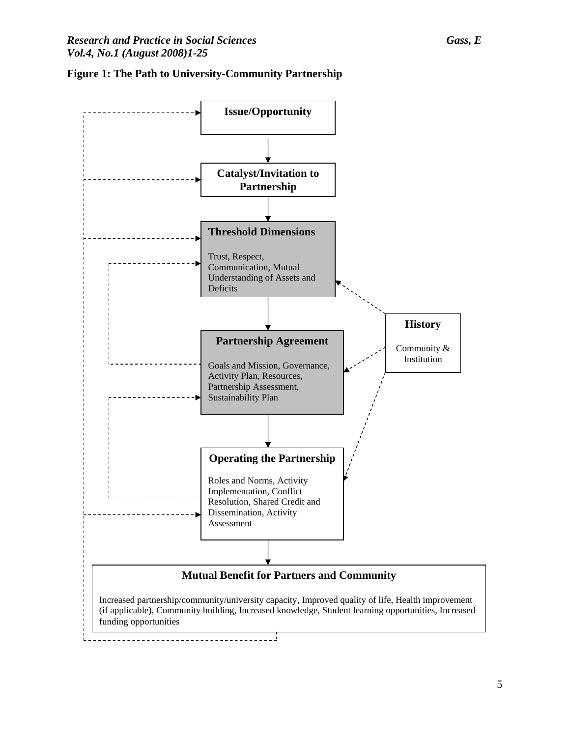

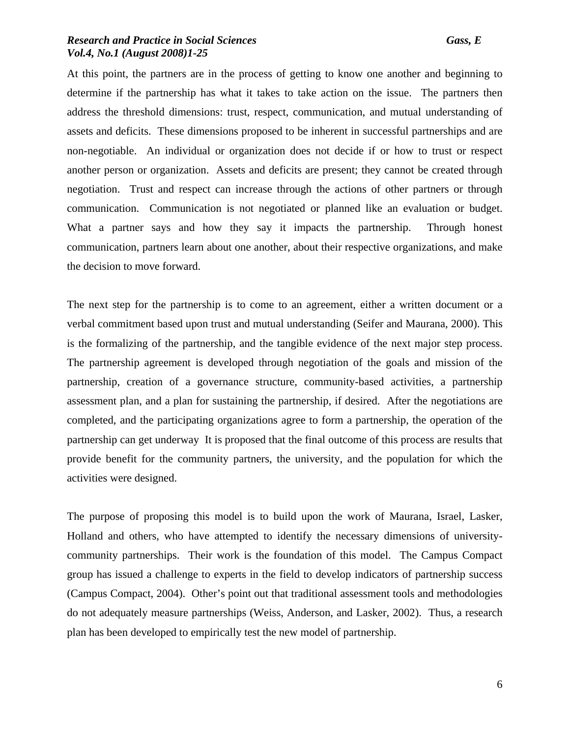At this point, the partners are in the process of getting to know one another and beginning to determine if the partnership has what it takes to take action on the issue. The partners then address the threshold dimensions: trust, respect, communication, and mutual understanding of assets and deficits. These dimensions proposed to be inherent in successful partnerships and are non-negotiable. An individual or organization does not decide if or how to trust or respect another person or organization. Assets and deficits are present; they cannot be created through negotiation. Trust and respect can increase through the actions of other partners or through communication. Communication is not negotiated or planned like an evaluation or budget. What a partner says and how they say it impacts the partnership. Through honest communication, partners learn about one another, about their respective organizations, and make the decision to move forward.

The next step for the partnership is to come to an agreement, either a written document or a verbal commitment based upon trust and mutual understanding (Seifer and Maurana, 2000). This is the formalizing of the partnership, and the tangible evidence of the next major step process. The partnership agreement is developed through negotiation of the goals and mission of the partnership, creation of a governance structure, community-based activities, a partnership assessment plan, and a plan for sustaining the partnership, if desired. After the negotiations are completed, and the participating organizations agree to form a partnership, the operation of the partnership can get underway It is proposed that the final outcome of this process are results that provide benefit for the community partners, the university, and the population for which the activities were designed.

The purpose of proposing this model is to build upon the work of Maurana, Israel, Lasker, Holland and others, who have attempted to identify the necessary dimensions of universitycommunity partnerships. Their work is the foundation of this model. The Campus Compact group has issued a challenge to experts in the field to develop indicators of partnership success (Campus Compact, 2004). Other's point out that traditional assessment tools and methodologies do not adequately measure partnerships (Weiss, Anderson, and Lasker, 2002). Thus, a research plan has been developed to empirically test the new model of partnership.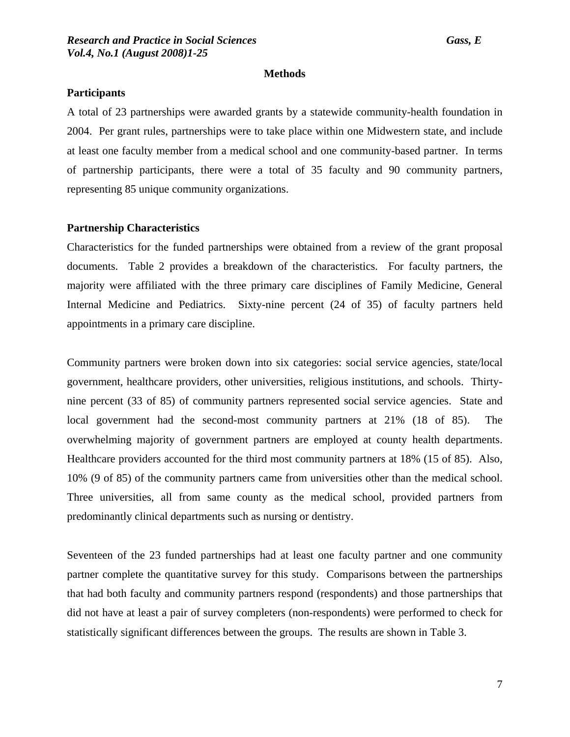### **Methods**

### **Participants**

A total of 23 partnerships were awarded grants by a statewide community-health foundation in 2004. Per grant rules, partnerships were to take place within one Midwestern state, and include at least one faculty member from a medical school and one community-based partner. In terms of partnership participants, there were a total of 35 faculty and 90 community partners, representing 85 unique community organizations.

### **Partnership Characteristics**

Characteristics for the funded partnerships were obtained from a review of the grant proposal documents. Table 2 provides a breakdown of the characteristics. For faculty partners, the majority were affiliated with the three primary care disciplines of Family Medicine, General Internal Medicine and Pediatrics. Sixty-nine percent (24 of 35) of faculty partners held appointments in a primary care discipline.

Community partners were broken down into six categories: social service agencies, state/local government, healthcare providers, other universities, religious institutions, and schools. Thirtynine percent (33 of 85) of community partners represented social service agencies. State and local government had the second-most community partners at 21% (18 of 85). The overwhelming majority of government partners are employed at county health departments. Healthcare providers accounted for the third most community partners at 18% (15 of 85). Also, 10% (9 of 85) of the community partners came from universities other than the medical school. Three universities, all from same county as the medical school, provided partners from predominantly clinical departments such as nursing or dentistry.

Seventeen of the 23 funded partnerships had at least one faculty partner and one community partner complete the quantitative survey for this study. Comparisons between the partnerships that had both faculty and community partners respond (respondents) and those partnerships that did not have at least a pair of survey completers (non-respondents) were performed to check for statistically significant differences between the groups. The results are shown in Table 3.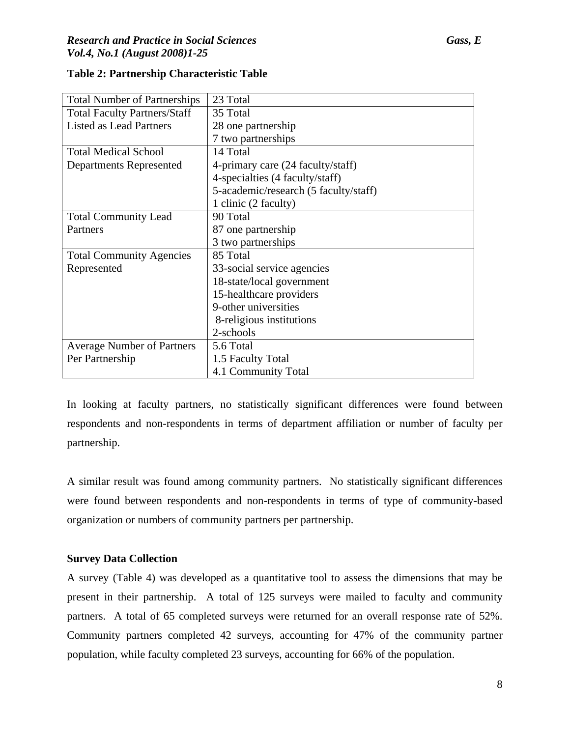| <b>Total Number of Partnerships</b> | 23 Total                              |
|-------------------------------------|---------------------------------------|
| <b>Total Faculty Partners/Staff</b> | 35 Total                              |
| <b>Listed as Lead Partners</b>      | 28 one partnership                    |
|                                     | 7 two partnerships                    |
| <b>Total Medical School</b>         | 14 Total                              |
| <b>Departments Represented</b>      | 4-primary care (24 faculty/staff)     |
|                                     | 4-specialties (4 faculty/staff)       |
|                                     | 5-academic/research (5 faculty/staff) |
|                                     | 1 clinic (2 faculty)                  |
| <b>Total Community Lead</b>         | 90 Total                              |
| Partners                            | 87 one partnership                    |
|                                     | 3 two partnerships                    |
| <b>Total Community Agencies</b>     | 85 Total                              |
| Represented                         | 33-social service agencies            |
|                                     | 18-state/local government             |
|                                     | 15-healthcare providers               |
|                                     | 9-other universities                  |
|                                     | 8-religious institutions              |
|                                     | 2-schools                             |
| <b>Average Number of Partners</b>   | 5.6 Total                             |
| Per Partnership                     | 1.5 Faculty Total                     |
|                                     | 4.1 Community Total                   |

### **Table 2: Partnership Characteristic Table**

In looking at faculty partners, no statistically significant differences were found between respondents and non-respondents in terms of department affiliation or number of faculty per partnership.

A similar result was found among community partners. No statistically significant differences were found between respondents and non-respondents in terms of type of community-based organization or numbers of community partners per partnership.

### **Survey Data Collection**

A survey (Table 4) was developed as a quantitative tool to assess the dimensions that may be present in their partnership. A total of 125 surveys were mailed to faculty and community partners. A total of 65 completed surveys were returned for an overall response rate of 52%. Community partners completed 42 surveys, accounting for 47% of the community partner population, while faculty completed 23 surveys, accounting for 66% of the population.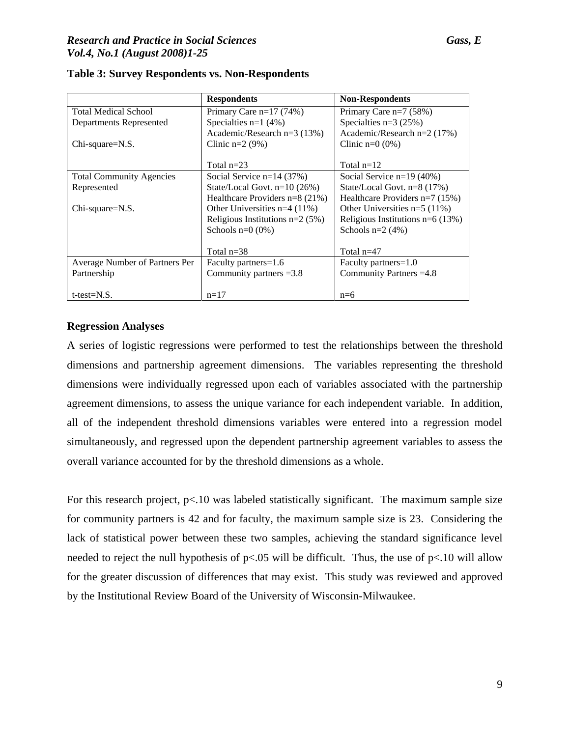### *Research and Practice in Social Sciences Gass, E Vol.4, No.1 (August 2008)1-25*

|                                 | <b>Respondents</b>                | <b>Non-Respondents</b>             |
|---------------------------------|-----------------------------------|------------------------------------|
| <b>Total Medical School</b>     | Primary Care $n=17$ (74%)         | Primary Care $n=7$ (58%)           |
| Departments Represented         | Specialties $n=1$ (4%)            | Specialties $n=3$ (25%)            |
|                                 | Academic/Research $n=3$ (13%)     | Academic/Research n=2 (17%)        |
| $Chi$ -square= $N.S.$           | Clinic $n=2$ (9%)                 | Clinic $n=0$ (0%)                  |
|                                 |                                   |                                    |
|                                 | Total $n=23$                      | Total $n=12$                       |
| <b>Total Community Agencies</b> | Social Service $n=14$ (37%)       | Social Service $n=19(40\%)$        |
| Represented                     | State/Local Govt. $n=10$ (26%)    | State/Local Govt. n=8 (17%)        |
|                                 | Healthcare Providers $n=8$ (21%)  | Healthcare Providers $n=7$ (15%)   |
| $Chi$ -square= $N.S.$           | Other Universities $n=4$ (11%)    | Other Universities $n=5$ (11%)     |
|                                 | Religious Institutions $n=2$ (5%) | Religious Institutions $n=6$ (13%) |
|                                 | Schools $n=0$ (0%)                | Schools $n=2$ (4%)                 |
|                                 |                                   |                                    |
|                                 | Total $n=38$                      | Total $n=47$                       |
| Average Number of Partners Per  | Faculty partners=1.6              | Faculty partners=1.0               |
| Partnership                     | Community partners $=3.8$         | Community Partners = 4.8           |
|                                 |                                   |                                    |
| $t$ -test= $N.S.$               | $n=17$                            | $n=6$                              |

### **Table 3: Survey Respondents vs. Non-Respondents**

### **Regression Analyses**

A series of logistic regressions were performed to test the relationships between the threshold dimensions and partnership agreement dimensions. The variables representing the threshold dimensions were individually regressed upon each of variables associated with the partnership agreement dimensions, to assess the unique variance for each independent variable. In addition, all of the independent threshold dimensions variables were entered into a regression model simultaneously, and regressed upon the dependent partnership agreement variables to assess the overall variance accounted for by the threshold dimensions as a whole.

For this research project,  $p<10$  was labeled statistically significant. The maximum sample size for community partners is 42 and for faculty, the maximum sample size is 23. Considering the lack of statistical power between these two samples, achieving the standard significance level needed to reject the null hypothesis of  $p<0.05$  will be difficult. Thus, the use of  $p<0.10$  will allow for the greater discussion of differences that may exist. This study was reviewed and approved by the Institutional Review Board of the University of Wisconsin-Milwaukee.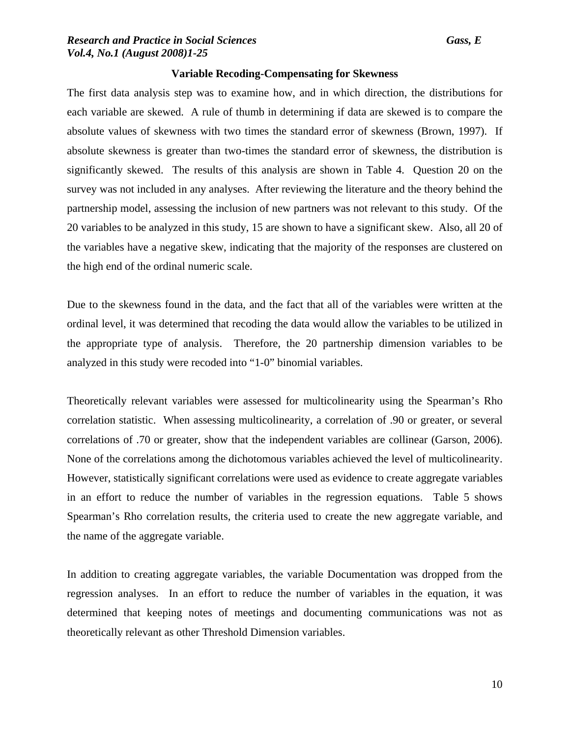### **Variable Recoding-Compensating for Skewness**

The first data analysis step was to examine how, and in which direction, the distributions for each variable are skewed. A rule of thumb in determining if data are skewed is to compare the absolute values of skewness with two times the standard error of skewness (Brown, 1997). If absolute skewness is greater than two-times the standard error of skewness, the distribution is significantly skewed. The results of this analysis are shown in Table 4. Question 20 on the survey was not included in any analyses. After reviewing the literature and the theory behind the partnership model, assessing the inclusion of new partners was not relevant to this study. Of the 20 variables to be analyzed in this study, 15 are shown to have a significant skew. Also, all 20 of the variables have a negative skew, indicating that the majority of the responses are clustered on the high end of the ordinal numeric scale.

Due to the skewness found in the data, and the fact that all of the variables were written at the ordinal level, it was determined that recoding the data would allow the variables to be utilized in the appropriate type of analysis. Therefore, the 20 partnership dimension variables to be analyzed in this study were recoded into "1-0" binomial variables.

Theoretically relevant variables were assessed for multicolinearity using the Spearman's Rho correlation statistic. When assessing multicolinearity, a correlation of .90 or greater, or several correlations of .70 or greater, show that the independent variables are collinear (Garson, 2006). None of the correlations among the dichotomous variables achieved the level of multicolinearity. However, statistically significant correlations were used as evidence to create aggregate variables in an effort to reduce the number of variables in the regression equations. Table 5 shows Spearman's Rho correlation results, the criteria used to create the new aggregate variable, and the name of the aggregate variable.

In addition to creating aggregate variables, the variable Documentation was dropped from the regression analyses. In an effort to reduce the number of variables in the equation, it was determined that keeping notes of meetings and documenting communications was not as theoretically relevant as other Threshold Dimension variables.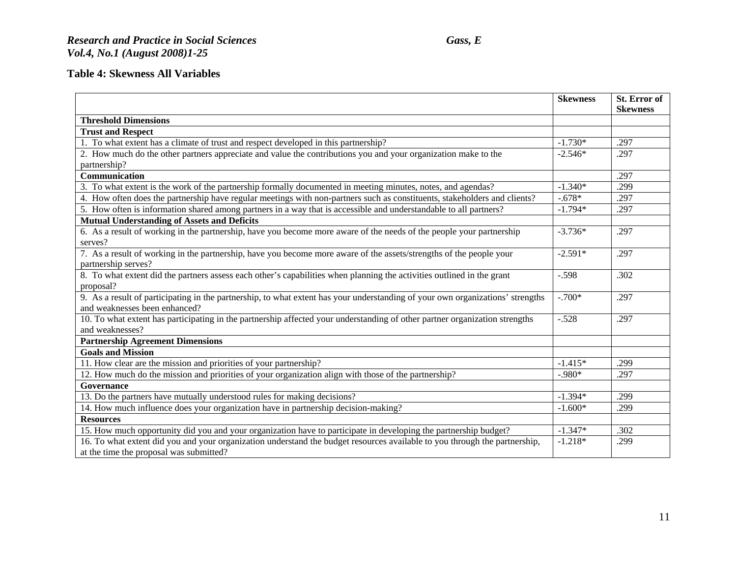## *Research and Practice in Social Sciences Gass, E Vol.4, No.1 (August 2008)1-25*

# **Table 4: Skewness All Variables**

|                                                                                                                                | <b>Skewness</b> | St. Error of<br><b>Skewness</b> |
|--------------------------------------------------------------------------------------------------------------------------------|-----------------|---------------------------------|
| <b>Threshold Dimensions</b>                                                                                                    |                 |                                 |
| <b>Trust and Respect</b>                                                                                                       |                 |                                 |
| 1. To what extent has a climate of trust and respect developed in this partnership?                                            | $-1.730*$       | .297                            |
| 2. How much do the other partners appreciate and value the contributions you and your organization make to the                 | $-2.546*$       | .297                            |
| partnership?                                                                                                                   |                 |                                 |
| Communication                                                                                                                  |                 | .297                            |
| 3. To what extent is the work of the partnership formally documented in meeting minutes, notes, and agendas?                   | $-1.340*$       | .299                            |
| 4. How often does the partnership have regular meetings with non-partners such as constituents, stakeholders and clients?      | $-.678*$        | .297                            |
| 5. How often is information shared among partners in a way that is accessible and understandable to all partners?              | $-1.794*$       | .297                            |
| <b>Mutual Understanding of Assets and Deficits</b>                                                                             |                 |                                 |
| 6. As a result of working in the partnership, have you become more aware of the needs of the people your partnership           | $-3.736*$       | .297                            |
| serves?                                                                                                                        |                 |                                 |
| 7. As a result of working in the partnership, have you become more aware of the assets/strengths of the people your            | $-2.591*$       | .297                            |
| partnership serves?                                                                                                            |                 |                                 |
| 8. To what extent did the partners assess each other's capabilities when planning the activities outlined in the grant         | $-.598$         | .302                            |
| proposal?                                                                                                                      |                 |                                 |
| 9. As a result of participating in the partnership, to what extent has your understanding of your own organizations' strengths | $-.700*$        | .297                            |
| and weaknesses been enhanced?                                                                                                  |                 |                                 |
| 10. To what extent has participating in the partnership affected your understanding of other partner organization strengths    | $-.528$         | .297                            |
| and weaknesses?                                                                                                                |                 |                                 |
| <b>Partnership Agreement Dimensions</b>                                                                                        |                 |                                 |
| <b>Goals and Mission</b>                                                                                                       |                 |                                 |
| 11. How clear are the mission and priorities of your partnership?                                                              | $-1.415*$       | .299                            |
| 12. How much do the mission and priorities of your organization align with those of the partnership?                           | $-.980*$        | .297                            |
| Governance                                                                                                                     |                 |                                 |
| 13. Do the partners have mutually understood rules for making decisions?                                                       | $-1.394*$       | .299                            |
| 14. How much influence does your organization have in partnership decision-making?                                             | $-1.600*$       | .299                            |
| <b>Resources</b>                                                                                                               |                 |                                 |
| 15. How much opportunity did you and your organization have to participate in developing the partnership budget?               | $-1.347*$       | .302                            |
| 16. To what extent did you and your organization understand the budget resources available to you through the partnership,     | $-1.218*$       | .299                            |
| at the time the proposal was submitted?                                                                                        |                 |                                 |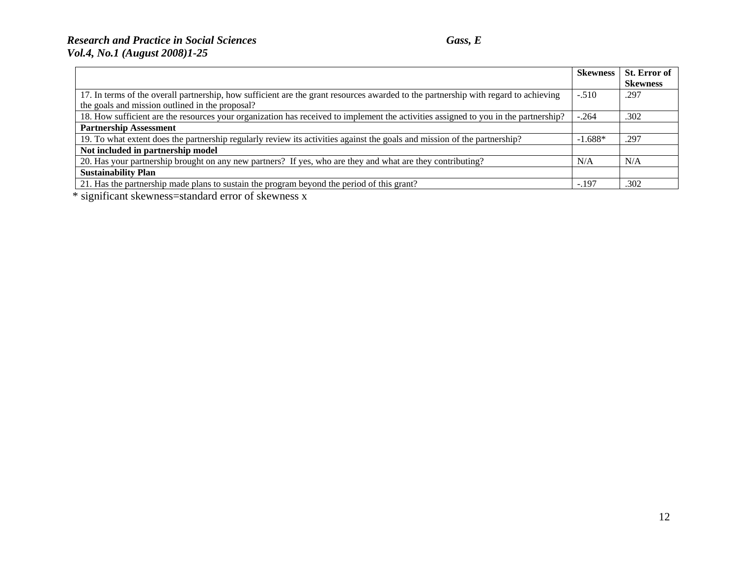## *Research and Practice in Social Sciences Gass, E Vol.4, No.1 (August 2008)1-25*

|                                                                                                                                     | <b>Skewness</b> | <b>St. Error of</b> |
|-------------------------------------------------------------------------------------------------------------------------------------|-----------------|---------------------|
|                                                                                                                                     |                 | <b>Skewness</b>     |
| 17. In terms of the overall partnership, how sufficient are the grant resources awarded to the partnership with regard to achieving | $-.510$         | .297                |
| the goals and mission outlined in the proposal?                                                                                     |                 |                     |
| 18. How sufficient are the resources your organization has received to implement the activities assigned to you in the partnership? | $-.264$         | .302                |
| <b>Partnership Assessment</b>                                                                                                       |                 |                     |
| 19. To what extent does the partnership regularly review its activities against the goals and mission of the partnership?           | $-1.688*$       | .297                |
| Not included in partnership model                                                                                                   |                 |                     |
| 20. Has your partnership brought on any new partners? If yes, who are they and what are they contributing?                          | N/A             | N/A                 |
| <b>Sustainability Plan</b>                                                                                                          |                 |                     |
| 21. Has the partnership made plans to sustain the program beyond the period of this grant?                                          | $-.197$         | .302                |

\* significant skewness=standard error of skewness x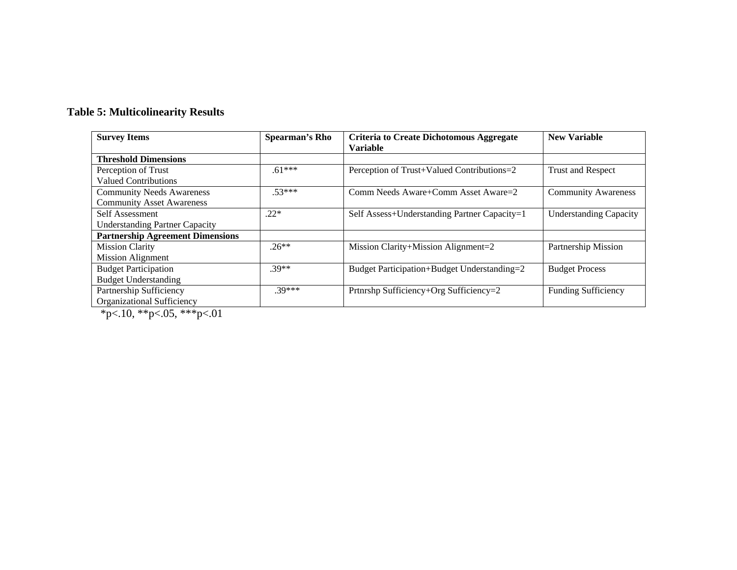# **Table 5: Multicolinearity Results**

| <b>Survey Items</b>                     | <b>Spearman's Rho</b> | <b>Criteria to Create Dichotomous Aggregate</b> | <b>New Variable</b>           |
|-----------------------------------------|-----------------------|-------------------------------------------------|-------------------------------|
|                                         |                       | <b>Variable</b>                                 |                               |
| <b>Threshold Dimensions</b>             |                       |                                                 |                               |
| Perception of Trust                     | $.61***$              | Perception of Trust+Valued Contributions=2      | <b>Trust and Respect</b>      |
| <b>Valued Contributions</b>             |                       |                                                 |                               |
| <b>Community Needs Awareness</b>        | $.53***$              | Comm Needs Aware+Comm Asset Aware=2             | <b>Community Awareness</b>    |
| <b>Community Asset Awareness</b>        |                       |                                                 |                               |
| Self Assessment                         | $.22*$                | Self Assess+Understanding Partner Capacity=1    | <b>Understanding Capacity</b> |
| <b>Understanding Partner Capacity</b>   |                       |                                                 |                               |
| <b>Partnership Agreement Dimensions</b> |                       |                                                 |                               |
| <b>Mission Clarity</b>                  | $.26**$               | Mission Clarity+Mission Alignment=2             | Partnership Mission           |
| <b>Mission Alignment</b>                |                       |                                                 |                               |
| <b>Budget Participation</b>             | $.39**$               | Budget Participation+Budget Understanding=2     | <b>Budget Process</b>         |
| <b>Budget Understanding</b>             |                       |                                                 |                               |
| Partnership Sufficiency                 | $30***$               | Prtnrshp Sufficiency+Org Sufficiency=2          | <b>Funding Sufficiency</b>    |
| <b>Organizational Sufficiency</b>       |                       |                                                 |                               |

\*p<.10, \*\*p<.05, \*\*\*p<.01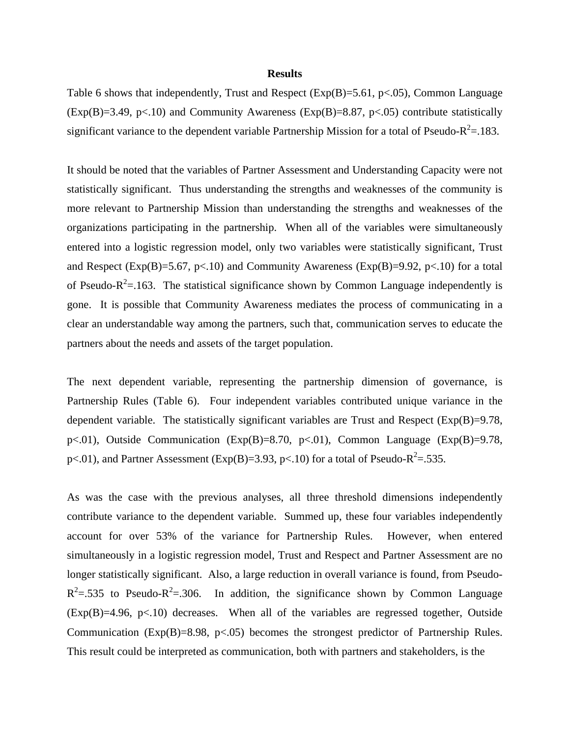### **Results**

Table 6 shows that independently, Trust and Respect ( $Exp(B)=5.61$ ,  $p<.05$ ), Common Language  $(Exp(B)=3.49, p<.10)$  and Community Awareness  $(Exp(B)=8.87, p<.05)$  contribute statistically significant variance to the dependent variable Partnership Mission for a total of Pseudo- $R^2 = .183$ .

It should be noted that the variables of Partner Assessment and Understanding Capacity were not statistically significant. Thus understanding the strengths and weaknesses of the community is more relevant to Partnership Mission than understanding the strengths and weaknesses of the organizations participating in the partnership. When all of the variables were simultaneously entered into a logistic regression model, only two variables were statistically significant, Trust and Respect (Exp(B)=5.67, p<.10) and Community Awareness (Exp(B)=9.92, p<.10) for a total of Pseudo- $R^2$ =.163. The statistical significance shown by Common Language independently is gone. It is possible that Community Awareness mediates the process of communicating in a clear an understandable way among the partners, such that, communication serves to educate the partners about the needs and assets of the target population.

The next dependent variable, representing the partnership dimension of governance, is Partnership Rules (Table 6). Four independent variables contributed unique variance in the dependent variable. The statistically significant variables are Trust and Respect ( $Exp(B)=9.78$ , p<.01), Outside Communication (Exp(B)=8.70, p<.01), Common Language (Exp(B)=9.78, p<.01), and Partner Assessment (Exp(B)=3.93, p<.10) for a total of Pseudo-R<sup>2</sup>=.535.

As was the case with the previous analyses, all three threshold dimensions independently contribute variance to the dependent variable. Summed up, these four variables independently account for over 53% of the variance for Partnership Rules. However, when entered simultaneously in a logistic regression model, Trust and Respect and Partner Assessment are no longer statistically significant. Also, a large reduction in overall variance is found, from Pseudo- $R^2$ =.535 to Pseudo- $R^2$ =.306. In addition, the significance shown by Common Language  $(Exp(B)=4.96, p<.10)$  decreases. When all of the variables are regressed together, Outside Communication (Exp(B)=8.98, p<.05) becomes the strongest predictor of Partnership Rules. This result could be interpreted as communication, both with partners and stakeholders, is the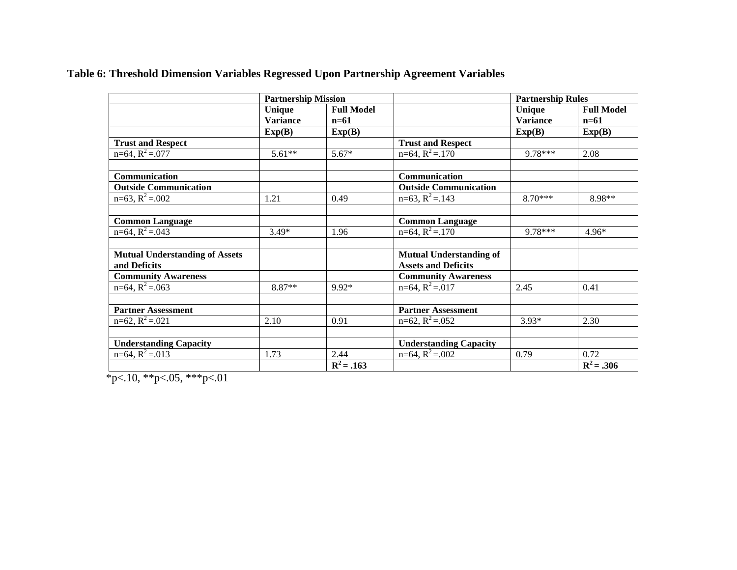|  |  |  | Table 6: Threshold Dimension Variables Regressed Upon Partnership Agreement Variables |  |
|--|--|--|---------------------------------------------------------------------------------------|--|
|  |  |  |                                                                                       |  |

|                                       | <b>Partnership Mission</b> |                   |                                             | <b>Partnership Rules</b> |                   |
|---------------------------------------|----------------------------|-------------------|---------------------------------------------|--------------------------|-------------------|
|                                       | Unique                     | <b>Full Model</b> |                                             | Unique                   | <b>Full Model</b> |
|                                       | <b>Variance</b>            | $n=61$            |                                             | <b>Variance</b>          | $n=61$            |
|                                       | Exp(B)                     | Exp(B)            |                                             | Exp(B)                   | Exp(B)            |
| <b>Trust and Respect</b>              |                            |                   | <b>Trust and Respect</b>                    |                          |                   |
| $n=64$ , $R^2 = .077$                 | $5.61**$                   | $5.67*$           | $n=64$ , $R^2 = .170$                       | 9.78***                  | 2.08              |
|                                       |                            |                   |                                             |                          |                   |
| Communication                         |                            |                   | Communication                               |                          |                   |
| <b>Outside Communication</b>          |                            |                   | <b>Outside Communication</b>                |                          |                   |
| $n=63$ , $R^2 = .002$                 | 1.21                       | 0.49              | $\overline{n=63}$ , $\overline{R}^2 = .143$ | $8.70***$                | 8.98**            |
|                                       |                            |                   |                                             |                          |                   |
| <b>Common Language</b>                |                            |                   | <b>Common Language</b>                      |                          |                   |
| $n=64$ , $R^2 = .043$                 | $3.49*$                    | 1.96              | $n=64$ , $R^2 = .170$                       | 9.78***                  | 4.96*             |
|                                       |                            |                   |                                             |                          |                   |
| <b>Mutual Understanding of Assets</b> |                            |                   | <b>Mutual Understanding of</b>              |                          |                   |
| and Deficits                          |                            |                   | <b>Assets and Deficits</b>                  |                          |                   |
| <b>Community Awareness</b>            |                            |                   | <b>Community Awareness</b>                  |                          |                   |
| $n=64$ , $R^2 = .063$                 | 8.87**                     | $9.92*$           | $n=64$ , $R^2 = .017$                       | 2.45                     | 0.41              |
|                                       |                            |                   |                                             |                          |                   |
| <b>Partner Assessment</b>             |                            |                   | <b>Partner Assessment</b>                   |                          |                   |
| $n=62$ , $R^2 = .021$                 | 2.10                       | 0.91              | $n=62$ , $R^2 = .052$                       | $3.93*$                  | 2.30              |
|                                       |                            |                   |                                             |                          |                   |
| <b>Understanding Capacity</b>         |                            |                   | <b>Understanding Capacity</b>               |                          |                   |
| $n=64$ , $R^2 = .013$                 | 1.73                       | 2.44              | $n=64$ , $R^2 = .002$                       | 0.79                     | 0.72              |
|                                       |                            | $R^2 = .163$      |                                             |                          | $R^2 = .306$      |

 $*_{p<.10,**p<.05,***p<.01}$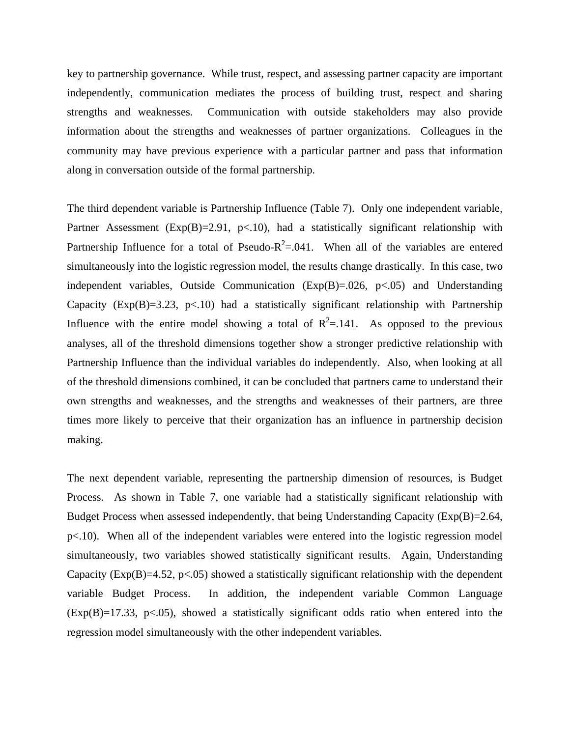key to partnership governance. While trust, respect, and assessing partner capacity are important independently, communication mediates the process of building trust, respect and sharing strengths and weaknesses. Communication with outside stakeholders may also provide information about the strengths and weaknesses of partner organizations. Colleagues in the community may have previous experience with a particular partner and pass that information along in conversation outside of the formal partnership.

The third dependent variable is Partnership Influence (Table 7). Only one independent variable, Partner Assessment ( $Exp(B)=2.91$ ,  $p<10$ ), had a statistically significant relationship with Partnership Influence for a total of Pseudo- $R^2 = 0.041$ . When all of the variables are entered simultaneously into the logistic regression model, the results change drastically. In this case, two independent variables, Outside Communication  $(Exp(B)=.026, p<.05)$  and Understanding Capacity ( $Exp(B)=3.23$ ,  $p<.10$ ) had a statistically significant relationship with Partnership Influence with the entire model showing a total of  $R^2 = .141$ . As opposed to the previous analyses, all of the threshold dimensions together show a stronger predictive relationship with Partnership Influence than the individual variables do independently. Also, when looking at all of the threshold dimensions combined, it can be concluded that partners came to understand their own strengths and weaknesses, and the strengths and weaknesses of their partners, are three times more likely to perceive that their organization has an influence in partnership decision making.

The next dependent variable, representing the partnership dimension of resources, is Budget Process. As shown in Table 7, one variable had a statistically significant relationship with Budget Process when assessed independently, that being Understanding Capacity (Exp(B)=2.64, p<.10). When all of the independent variables were entered into the logistic regression model simultaneously, two variables showed statistically significant results. Again, Understanding Capacity ( $Exp(B)=4.52$ ,  $p<.05$ ) showed a statistically significant relationship with the dependent variable Budget Process. In addition, the independent variable Common Language  $(Exp(B)=17.33, p<0.05)$ , showed a statistically significant odds ratio when entered into the regression model simultaneously with the other independent variables.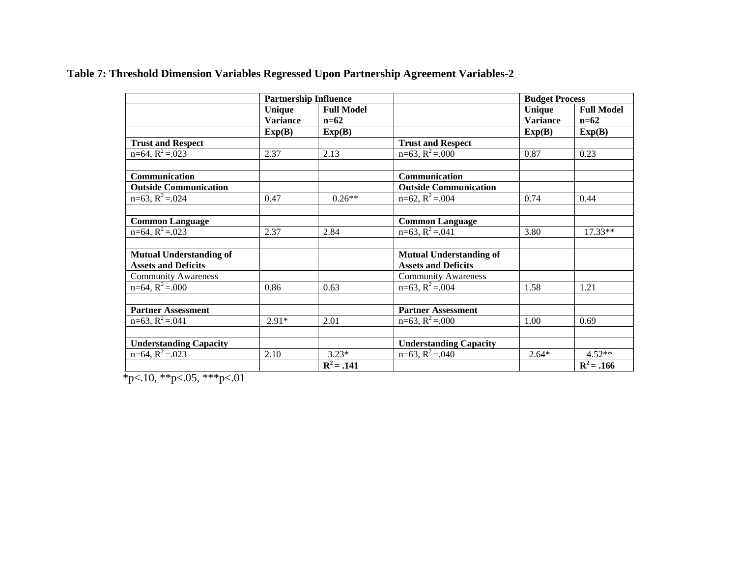**Table 7: Threshold Dimension Variables Regressed Upon Partnership Agreement Variables-2** 

|                                | <b>Partnership Influence</b> |                   |                                | <b>Budget Process</b> |                   |
|--------------------------------|------------------------------|-------------------|--------------------------------|-----------------------|-------------------|
|                                | Unique                       | <b>Full Model</b> |                                | Unique                | <b>Full Model</b> |
|                                | <b>Variance</b>              | $n=62$            |                                | <b>Variance</b>       | $n=62$            |
|                                | Exp(B)                       | Exp(B)            |                                | Exp(B)                | Exp(B)            |
| <b>Trust and Respect</b>       |                              |                   | <b>Trust and Respect</b>       |                       |                   |
| $n=64$ , $R^2 = .023$          | 2.37                         | 2.13              | $n=63$ , $R^2 = .000$          | 0.87                  | 0.23              |
|                                |                              |                   |                                |                       |                   |
| Communication                  |                              |                   | Communication                  |                       |                   |
| <b>Outside Communication</b>   |                              |                   | <b>Outside Communication</b>   |                       |                   |
| $n=63$ , $R^2 = .024$          | 0.47                         | $0.26**$          | $n=62$ , $R^2 = .004$          | 0.74                  | 0.44              |
|                                |                              |                   |                                |                       |                   |
| <b>Common Language</b>         |                              |                   | <b>Common Language</b>         |                       |                   |
| $n=64$ , $R^2 = .023$          | 2.37                         | 2.84              | $n=63$ , $R^2 = .041$          | 3.80                  | $17.33**$         |
|                                |                              |                   |                                |                       |                   |
| <b>Mutual Understanding of</b> |                              |                   | <b>Mutual Understanding of</b> |                       |                   |
| <b>Assets and Deficits</b>     |                              |                   | <b>Assets and Deficits</b>     |                       |                   |
| <b>Community Awareness</b>     |                              |                   | <b>Community Awareness</b>     |                       |                   |
| $n=64$ , $R^2 = .000$          | 0.86                         | 0.63              | $n=63$ , $R^2 = .004$          | 1.58                  | 1.21              |
|                                |                              |                   |                                |                       |                   |
| <b>Partner Assessment</b>      |                              |                   | <b>Partner Assessment</b>      |                       |                   |
| $n=63$ , $R^2 = .041$          | $2.91*$                      | 2.01              | $n=63$ , $R^2 = .000$          | 1.00                  | 0.69              |
|                                |                              |                   |                                |                       |                   |
| <b>Understanding Capacity</b>  |                              |                   | <b>Understanding Capacity</b>  |                       |                   |
| $n=64$ , $R^2 = .023$          | 2.10                         | $3.23*$           | $n=63$ , $R^2 = .040$          | $2.64*$               | $4.52**$          |
|                                |                              | $R^2 = .141$      |                                |                       | $R^2 = .166$      |

 $*_{p<.10,**p<.05,***p<.01}$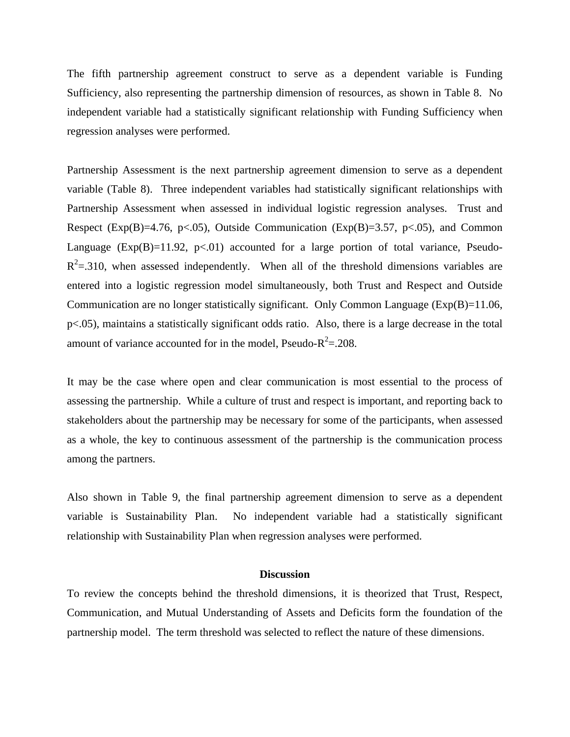The fifth partnership agreement construct to serve as a dependent variable is Funding Sufficiency, also representing the partnership dimension of resources, as shown in Table 8. No independent variable had a statistically significant relationship with Funding Sufficiency when regression analyses were performed.

Partnership Assessment is the next partnership agreement dimension to serve as a dependent variable (Table 8). Three independent variables had statistically significant relationships with Partnership Assessment when assessed in individual logistic regression analyses. Trust and Respect (Exp(B)=4.76, p<.05), Outside Communication (Exp(B)=3.57, p<.05), and Common Language  $(Exp(B)=11.92, p<0.01)$  accounted for a large portion of total variance, Pseudo- $R<sup>2</sup>=.310$ , when assessed independently. When all of the threshold dimensions variables are entered into a logistic regression model simultaneously, both Trust and Respect and Outside Communication are no longer statistically significant. Only Common Language (Exp(B)=11.06, p<.05), maintains a statistically significant odds ratio. Also, there is a large decrease in the total amount of variance accounted for in the model, Pseudo- $R^2 = .208$ .

It may be the case where open and clear communication is most essential to the process of assessing the partnership. While a culture of trust and respect is important, and reporting back to stakeholders about the partnership may be necessary for some of the participants, when assessed as a whole, the key to continuous assessment of the partnership is the communication process among the partners.

Also shown in Table 9, the final partnership agreement dimension to serve as a dependent variable is Sustainability Plan. No independent variable had a statistically significant relationship with Sustainability Plan when regression analyses were performed.

### **Discussion**

To review the concepts behind the threshold dimensions, it is theorized that Trust, Respect, Communication, and Mutual Understanding of Assets and Deficits form the foundation of the partnership model. The term threshold was selected to reflect the nature of these dimensions.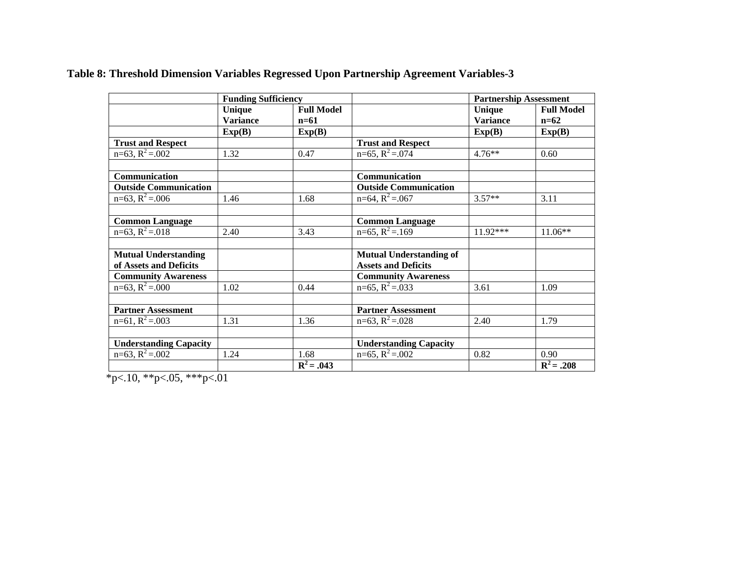|                               | <b>Funding Sufficiency</b> |                   |                                | <b>Partnership Assessment</b> |                   |
|-------------------------------|----------------------------|-------------------|--------------------------------|-------------------------------|-------------------|
|                               | Unique                     | <b>Full Model</b> |                                | Unique                        | <b>Full Model</b> |
|                               | <b>Variance</b>            | $n=61$            |                                | <b>Variance</b>               | $n=62$            |
|                               | Exp(B)                     | Exp(B)            |                                | Exp(B)                        | Exp(B)            |
| <b>Trust and Respect</b>      |                            |                   | <b>Trust and Respect</b>       |                               |                   |
| $n=63$ , $R^2 = .002$         | 1.32                       | 0.47              | $n=65$ , $R^2 = .074$          | $4.76***$                     | 0.60              |
|                               |                            |                   |                                |                               |                   |
| Communication                 |                            |                   | Communication                  |                               |                   |
| <b>Outside Communication</b>  |                            |                   | <b>Outside Communication</b>   |                               |                   |
| $n=63$ , $R^2 = .006$         | 1.46                       | 1.68              | $n=64$ , $R^2 = .067$          | $3.57**$                      | 3.11              |
|                               |                            |                   |                                |                               |                   |
| <b>Common Language</b>        |                            |                   | <b>Common Language</b>         |                               |                   |
| $n=63$ , $R^2 = .018$         | 2.40                       | 3.43              | $n=65$ , $R^2 = .169$          | $11.92***$                    | $11.06**$         |
| <b>Mutual Understanding</b>   |                            |                   | <b>Mutual Understanding of</b> |                               |                   |
| of Assets and Deficits        |                            |                   | <b>Assets and Deficits</b>     |                               |                   |
| <b>Community Awareness</b>    |                            |                   | <b>Community Awareness</b>     |                               |                   |
| $n=63$ , $R^2 = .000$         | 1.02                       | 0.44              | $n=65$ , $R^2 = .033$          | 3.61                          | 1.09              |
|                               |                            |                   |                                |                               |                   |
| <b>Partner Assessment</b>     |                            |                   | <b>Partner Assessment</b>      |                               |                   |
| $n=61$ , $R^2 = .003$         | 1.31                       | 1.36              | $n=63$ , $R^2 = .028$          | 2.40                          | 1.79              |
|                               |                            |                   |                                |                               |                   |
| <b>Understanding Capacity</b> |                            |                   | <b>Understanding Capacity</b>  |                               |                   |
| $n=63$ , $R^2 = .002$         | 1.24                       | 1.68              | $n=65$ , $R^2 = .002$          | 0.82                          | 0.90              |
|                               | $\sim$ $\sim$              | $R^2 = .043$      |                                |                               | $R^2 = .208$      |

# **Table 8: Threshold Dimension Variables Regressed Upon Partnership Agreement Variables-3**

 $*_{p<.10,*p<.05,**p<.01}$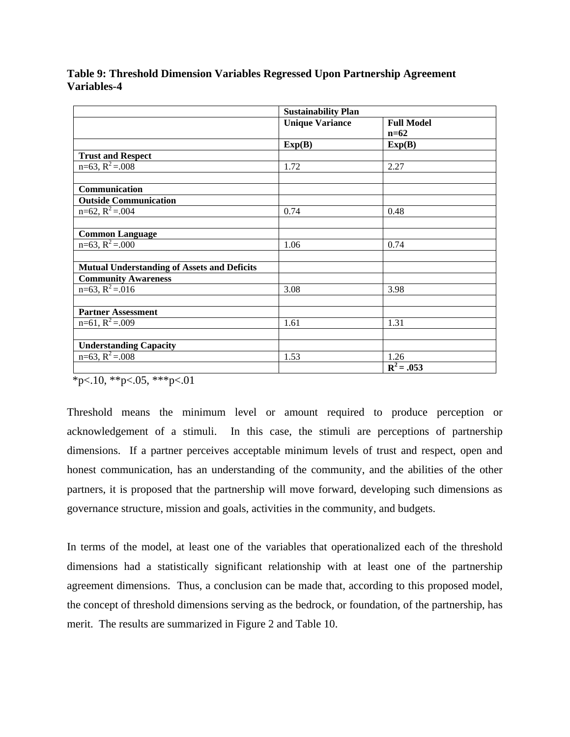|                                                    | <b>Sustainability Plan</b> |                   |  |
|----------------------------------------------------|----------------------------|-------------------|--|
|                                                    | <b>Unique Variance</b>     | <b>Full Model</b> |  |
|                                                    |                            | $n=62$            |  |
|                                                    | Exp(B)                     | Exp(B)            |  |
| <b>Trust and Respect</b>                           |                            |                   |  |
| $n=63$ , $R^2 = .008$                              | 1.72                       | 2.27              |  |
|                                                    |                            |                   |  |
| Communication                                      |                            |                   |  |
| <b>Outside Communication</b>                       |                            |                   |  |
| $n=62$ , $R^2 = .004$                              | 0.74                       | 0.48              |  |
|                                                    |                            |                   |  |
| <b>Common Language</b>                             |                            |                   |  |
| $n=63$ , $R^2 = .000$                              | 1.06                       | 0.74              |  |
|                                                    |                            |                   |  |
| <b>Mutual Understanding of Assets and Deficits</b> |                            |                   |  |
| <b>Community Awareness</b>                         |                            |                   |  |
| $n=63$ , $R^2 = .016$                              | 3.08                       | 3.98              |  |
|                                                    |                            |                   |  |
| <b>Partner Assessment</b>                          |                            |                   |  |
| $n=61$ , $R^2 = .009$                              | 1.61                       | 1.31              |  |
|                                                    |                            |                   |  |
| <b>Understanding Capacity</b>                      |                            |                   |  |
| $n=63$ , $R^2=.008$                                | 1.53                       | 1.26              |  |
|                                                    |                            | $R^2 = .053$      |  |

**Table 9: Threshold Dimension Variables Regressed Upon Partnership Agreement Variables-4** 

 $*p<.10$ ,  $*p<.05$ ,  $**p<.01$ 

Threshold means the minimum level or amount required to produce perception or acknowledgement of a stimuli. In this case, the stimuli are perceptions of partnership dimensions. If a partner perceives acceptable minimum levels of trust and respect, open and honest communication, has an understanding of the community, and the abilities of the other partners, it is proposed that the partnership will move forward, developing such dimensions as governance structure, mission and goals, activities in the community, and budgets.

In terms of the model, at least one of the variables that operationalized each of the threshold dimensions had a statistically significant relationship with at least one of the partnership agreement dimensions. Thus, a conclusion can be made that, according to this proposed model, the concept of threshold dimensions serving as the bedrock, or foundation, of the partnership, has merit. The results are summarized in Figure 2 and Table 10.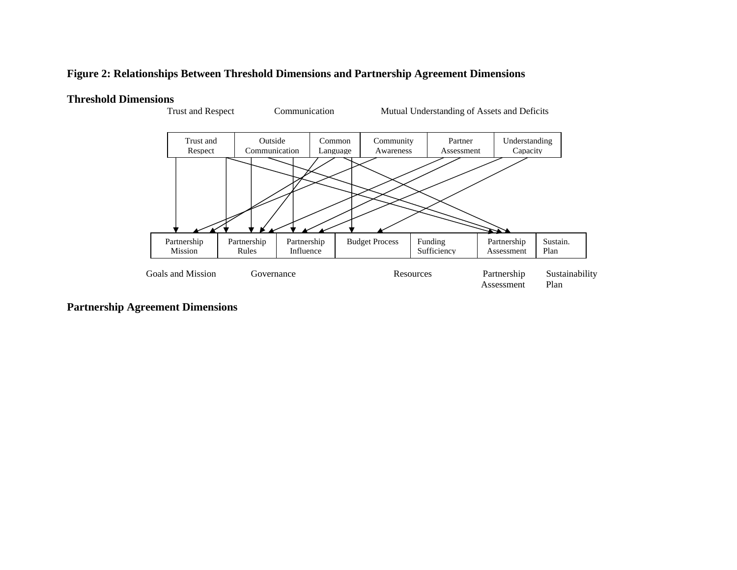### **Figure 2: Relationships Between Threshold Dimensions and Partnership Agreement Dimensions**

### **Threshold Dimensions**



**Partnership Agreement Dimensions**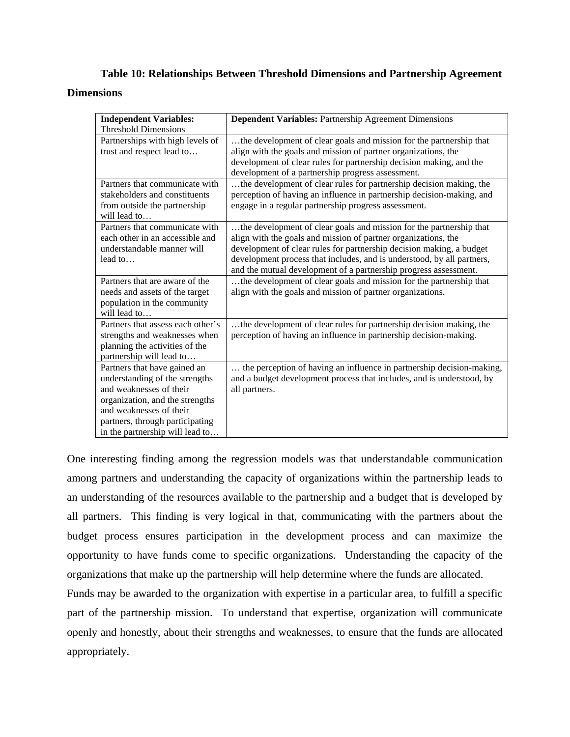# **Table 10: Relationships Between Threshold Dimensions and Partnership Agreement Dimensions**

| <b>Independent Variables:</b>     | <b>Dependent Variables: Partnership Agreement Dimensions</b>           |
|-----------------------------------|------------------------------------------------------------------------|
| <b>Threshold Dimensions</b>       |                                                                        |
| Partnerships with high levels of  | the development of clear goals and mission for the partnership that    |
| trust and respect lead to         | align with the goals and mission of partner organizations, the         |
|                                   | development of clear rules for partnership decision making, and the    |
|                                   | development of a partnership progress assessment.                      |
| Partners that communicate with    | the development of clear rules for partnership decision making, the    |
| stakeholders and constituents     | perception of having an influence in partnership decision-making, and  |
| from outside the partnership      | engage in a regular partnership progress assessment.                   |
| will lead to                      |                                                                        |
| Partners that communicate with    | the development of clear goals and mission for the partnership that    |
| each other in an accessible and   | align with the goals and mission of partner organizations, the         |
| understandable manner will        | development of clear rules for partnership decision making, a budget   |
| lead to                           | development process that includes, and is understood, by all partners, |
|                                   | and the mutual development of a partnership progress assessment.       |
| Partners that are aware of the    | the development of clear goals and mission for the partnership that    |
| needs and assets of the target    | align with the goals and mission of partner organizations.             |
| population in the community       |                                                                        |
| will lead to                      |                                                                        |
| Partners that assess each other's | the development of clear rules for partnership decision making, the    |
| strengths and weaknesses when     | perception of having an influence in partnership decision-making.      |
| planning the activities of the    |                                                                        |
| partnership will lead to          |                                                                        |
| Partners that have gained an      | the perception of having an influence in partnership decision-making,  |
| understanding of the strengths    | and a budget development process that includes, and is understood, by  |
| and weaknesses of their           | all partners.                                                          |
| organization, and the strengths   |                                                                        |
| and weaknesses of their           |                                                                        |
| partners, through participating   |                                                                        |
| in the partnership will lead to   |                                                                        |

One interesting finding among the regression models was that understandable communication among partners and understanding the capacity of organizations within the partnership leads to an understanding of the resources available to the partnership and a budget that is developed by all partners. This finding is very logical in that, communicating with the partners about the budget process ensures participation in the development process and can maximize the opportunity to have funds come to specific organizations. Understanding the capacity of the organizations that make up the partnership will help determine where the funds are allocated.

Funds may be awarded to the organization with expertise in a particular area, to fulfill a specific part of the partnership mission. To understand that expertise, organization will communicate openly and honestly, about their strengths and weaknesses, to ensure that the funds are allocated appropriately.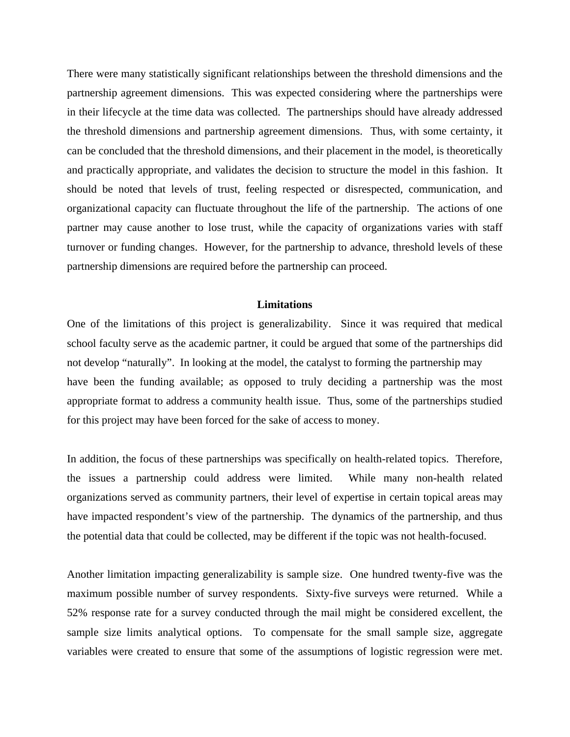There were many statistically significant relationships between the threshold dimensions and the partnership agreement dimensions. This was expected considering where the partnerships were in their lifecycle at the time data was collected. The partnerships should have already addressed the threshold dimensions and partnership agreement dimensions. Thus, with some certainty, it can be concluded that the threshold dimensions, and their placement in the model, is theoretically and practically appropriate, and validates the decision to structure the model in this fashion. It should be noted that levels of trust, feeling respected or disrespected, communication, and organizational capacity can fluctuate throughout the life of the partnership. The actions of one partner may cause another to lose trust, while the capacity of organizations varies with staff turnover or funding changes. However, for the partnership to advance, threshold levels of these partnership dimensions are required before the partnership can proceed.

### **Limitations**

One of the limitations of this project is generalizability. Since it was required that medical school faculty serve as the academic partner, it could be argued that some of the partnerships did not develop "naturally". In looking at the model, the catalyst to forming the partnership may have been the funding available; as opposed to truly deciding a partnership was the most appropriate format to address a community health issue. Thus, some of the partnerships studied for this project may have been forced for the sake of access to money.

In addition, the focus of these partnerships was specifically on health-related topics. Therefore, the issues a partnership could address were limited. While many non-health related organizations served as community partners, their level of expertise in certain topical areas may have impacted respondent's view of the partnership. The dynamics of the partnership, and thus the potential data that could be collected, may be different if the topic was not health-focused.

Another limitation impacting generalizability is sample size. One hundred twenty-five was the maximum possible number of survey respondents. Sixty-five surveys were returned. While a 52% response rate for a survey conducted through the mail might be considered excellent, the sample size limits analytical options. To compensate for the small sample size, aggregate variables were created to ensure that some of the assumptions of logistic regression were met.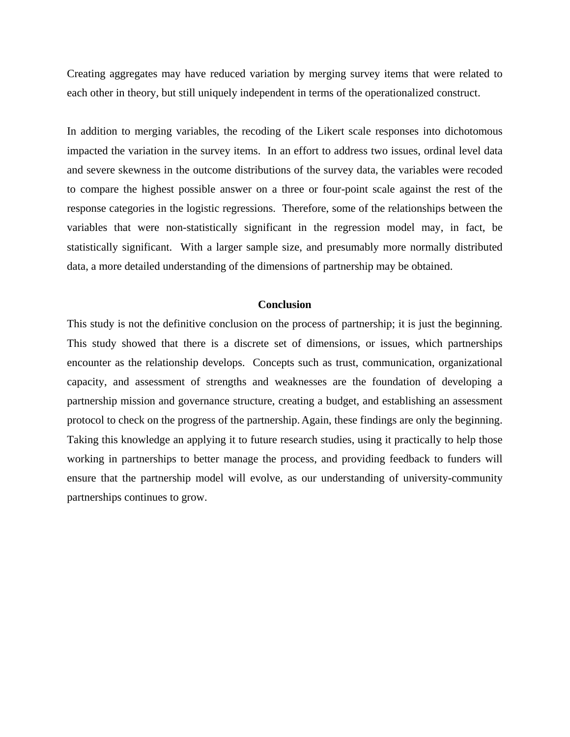Creating aggregates may have reduced variation by merging survey items that were related to each other in theory, but still uniquely independent in terms of the operationalized construct.

In addition to merging variables, the recoding of the Likert scale responses into dichotomous impacted the variation in the survey items. In an effort to address two issues, ordinal level data and severe skewness in the outcome distributions of the survey data, the variables were recoded to compare the highest possible answer on a three or four-point scale against the rest of the response categories in the logistic regressions. Therefore, some of the relationships between the variables that were non-statistically significant in the regression model may, in fact, be statistically significant. With a larger sample size, and presumably more normally distributed data, a more detailed understanding of the dimensions of partnership may be obtained.

### **Conclusion**

This study is not the definitive conclusion on the process of partnership; it is just the beginning. This study showed that there is a discrete set of dimensions, or issues, which partnerships encounter as the relationship develops. Concepts such as trust, communication, organizational capacity, and assessment of strengths and weaknesses are the foundation of developing a partnership mission and governance structure, creating a budget, and establishing an assessment protocol to check on the progress of the partnership. Again, these findings are only the beginning. Taking this knowledge an applying it to future research studies, using it practically to help those working in partnerships to better manage the process, and providing feedback to funders will ensure that the partnership model will evolve, as our understanding of university-community partnerships continues to grow.